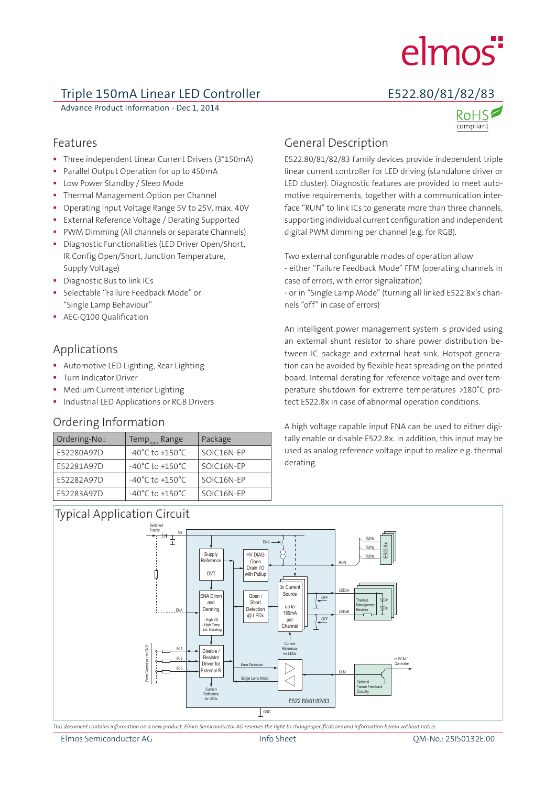# elmos<sup>"</sup>

# Triple 150mA Linear LED Controller E522.80/81/82/83

Advance Product Information - Dec 1, 2014

compliant



- Three independent Linear Current Drivers (3\*150mA)
- Parallel Output Operation for up to 450mA
- Low Power Standby / Sleep Mode
- **Thermal Management Option per Channel**
- **•** Operating Input Voltage Range 5V to 25V, max. 40V
- **External Reference Voltage / Derating Supported**
- **PWM Dimming (All channels or separate Channels)**
- Diagnostic Functionalities (LED Driver Open/Short, IR Config Open/Short, Junction Temperature, Supply Voltage)
- **Diagnostic Bus to link ICs**
- Selectable "Failure Feedback Mode" or "Single Lamp Behaviour"
- **AEC-O100 Qualification**

# Applications

- Automotive LED Lighting, Rear Lighting
- **Turn Indicator Driver**
- Medium Current Interior Lighting
- **Industrial LED Applications or RGB Drivers**

### Ordering Information

| Ordering-No.: | Temp <sub>lunc</sub> Range          | Package    |
|---------------|-------------------------------------|------------|
| E52280A97D    | $-40^{\circ}$ C to $+150^{\circ}$ C | SOIC16N-EP |
| E52281A97D    | $-40^{\circ}$ C to $+150^{\circ}$ C | SOIC16N-EP |
| E52282A97D    | $-40^{\circ}$ C to $+150^{\circ}$ C | SOIC16N-EP |
| E52283A97D    | $-40^{\circ}$ C to $+150^{\circ}$ C | SOIC16N-EP |

# Typical Application Circuit

# General Description

E522.80/81/82/83 family devices provide independent triple linear current controller for LED driving (standalone driver or LED cluster). Diagnostic features are provided to meet automotive requirements, together with a communication interface "RUN" to link ICs to generate more than three channels, supporting individual current configuration and independent digital PWM dimming per channel (e.g. for RGB).

Two external configurable modes of operation allow - either "Failure Feedback Mode" FFM (operating channels in case of errors, with error signalization)

- or in "Single Lamp Mode" (turning all linked E522.8x´s channels "off" in case of errors)

An intelligent power management system is provided using an external shunt resistor to share power distribution between IC package and external heat sink. Hotspot generation can be avoided by flexible heat spreading on the printed board. Internal derating for reference voltage and over-temperature shutdown for extreme temperatures >180°C protect E522.8x in case of abnormal operation conditions.

A high voltage capable input ENA can be used to either digitally enable or disable E522.8x. In addition, this input may be used as analog reference voltage input to realize e.g. thermal derating.



*This document contains information on a new product. Elmos Semiconductor AG reserves the right to change specifications and information herein without notice.*